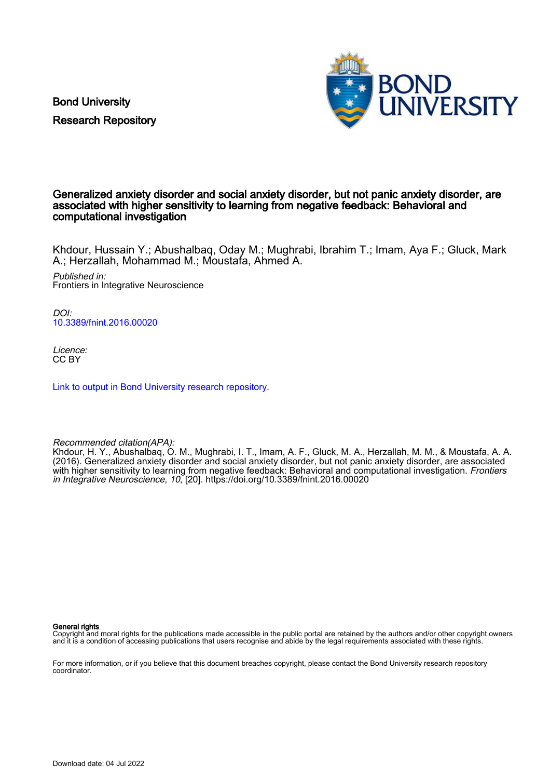Bond University Research Repository



## Generalized anxiety disorder and social anxiety disorder, but not panic anxiety disorder, are associated with higher sensitivity to learning from negative feedback: Behavioral and computational investigation

Khdour, Hussain Y.; Abushalbaq, Oday M.; Mughrabi, Ibrahim T.; Imam, Aya F.; Gluck, Mark A.; Herzallah, Mohammad M.; Moustafa, Ahmed A.

Published in: Frontiers in Integrative Neuroscience

DOI: [10.3389/fnint.2016.00020](https://doi.org/10.3389/fnint.2016.00020)

Licence: CC BY

[Link to output in Bond University research repository.](https://research.bond.edu.au/en/publications/4ab07f6b-c8ee-4311-859e-54e202fad743)

Recommended citation(APA):

Khdour, H. Y., Abushalbaq, O. M., Mughrabi, I. T., Imam, A. F., Gluck, M. A., Herzallah, M. M., & Moustafa, A. A. (2016). Generalized anxiety disorder and social anxiety disorder, but not panic anxiety disorder, are associated with higher sensitivity to learning from negative feedback: Behavioral and computational investigation. Frontiers in Integrative Neuroscience, 10, [20]. <https://doi.org/10.3389/fnint.2016.00020>

General rights

Copyright and moral rights for the publications made accessible in the public portal are retained by the authors and/or other copyright owners and it is a condition of accessing publications that users recognise and abide by the legal requirements associated with these rights.

For more information, or if you believe that this document breaches copyright, please contact the Bond University research repository coordinator.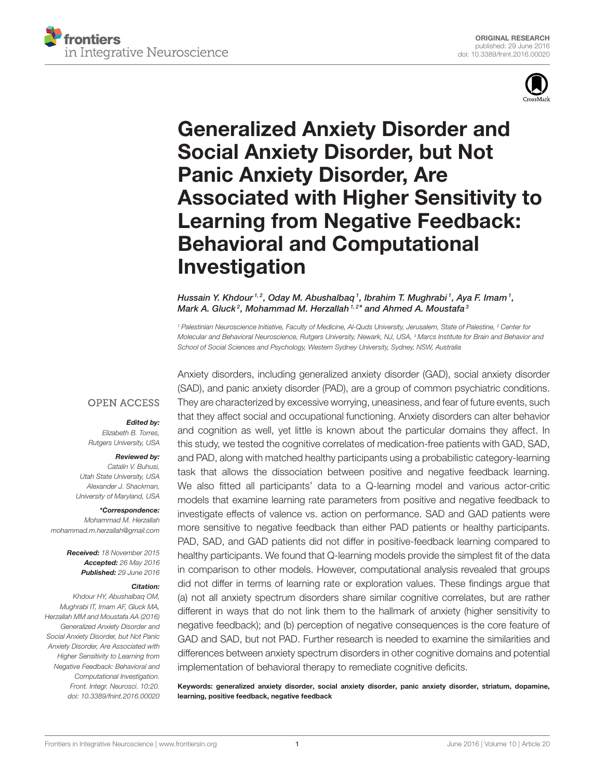



# Generalized Anxiety Disorder and Social Anxiety Disorder, but Not Panic Anxiety Disorder, Are [Associated with Higher Sensitivity to](http://journal.frontiersin.org/article/10.3389/fnint.2016.00020/abstract) Learning from Negative Feedback: Behavioral and Computational Investigation

[Hussain Y. Khdour](http://loop.frontiersin.org/people/294927/overview) 1,2, [Oday M. Abushalbaq](http://loop.frontiersin.org/people/295059/overview) 1, [Ibrahim T. Mughrabi](http://loop.frontiersin.org/people/317260/overview) <sup>1</sup>, Aya F. Imam 1, Mark A. Gluck<sup>2</sup>, [Mohammad M. Herzallah](http://loop.frontiersin.org/people/66579/overview)<sup>1,2\*</sup> and [Ahmed A. Moustafa](http://loop.frontiersin.org/people/15417/overview)<sup>3</sup>

*<sup>1</sup> Palestinian Neuroscience Initiative, Faculty of Medicine, Al-Quds University, Jerusalem, State of Palestine, <sup>2</sup> Center for Molecular and Behavioral Neuroscience, Rutgers University, Newark, NJ, USA, <sup>3</sup> Marcs Institute for Brain and Behavior and School of Social Sciences and Psychology, Western Sydney University, Sydney, NSW, Australia*

## **OPEN ACCESS**

#### Edited by:

*Elizabeth B. Torres, Rutgers University, USA*

#### Reviewed by:

*Catalin V. Buhusi, Utah State University, USA Alexander J. Shackman, University of Maryland, USA*

\*Correspondence: *Mohammad M. Herzallah [mohammad.m.herzallah@gmail.com](mailto:mohammad.m.herzallah@gmail.com)*

> Received: *18 November 2015* Accepted: *26 May 2016* Published: *29 June 2016*

#### Citation:

*Khdour HY, Abushalbaq OM, Mughrabi IT, Imam AF, Gluck MA, Herzallah MM and Moustafa AA (2016) Generalized Anxiety Disorder and Social Anxiety Disorder, but Not Panic Anxiety Disorder, Are Associated with Higher Sensitivity to Learning from Negative Feedback: Behavioral and Computational Investigation. Front. Integr. Neurosci. 10:20. doi: [10.3389/fnint.2016.00020](http://dx.doi.org/10.3389/fnint.2016.00020)* Anxiety disorders, including generalized anxiety disorder (GAD), social anxiety disorder (SAD), and panic anxiety disorder (PAD), are a group of common psychiatric conditions. They are characterized by excessive worrying, uneasiness, and fear of future events, such that they affect social and occupational functioning. Anxiety disorders can alter behavior and cognition as well, yet little is known about the particular domains they affect. In this study, we tested the cognitive correlates of medication-free patients with GAD, SAD, and PAD, along with matched healthy participants using a probabilistic category-learning task that allows the dissociation between positive and negative feedback learning. We also fitted all participants' data to a Q-learning model and various actor-critic models that examine learning rate parameters from positive and negative feedback to investigate effects of valence vs. action on performance. SAD and GAD patients were more sensitive to negative feedback than either PAD patients or healthy participants. PAD, SAD, and GAD patients did not differ in positive-feedback learning compared to healthy participants. We found that Q-learning models provide the simplest fit of the data in comparison to other models. However, computational analysis revealed that groups did not differ in terms of learning rate or exploration values. These findings argue that (a) not all anxiety spectrum disorders share similar cognitive correlates, but are rather different in ways that do not link them to the hallmark of anxiety (higher sensitivity to negative feedback); and (b) perception of negative consequences is the core feature of GAD and SAD, but not PAD. Further research is needed to examine the similarities and differences between anxiety spectrum disorders in other cognitive domains and potential implementation of behavioral therapy to remediate cognitive deficits.

Keywords: generalized anxiety disorder, social anxiety disorder, panic anxiety disorder, striatum, dopamine, learning, positive feedback, negative feedback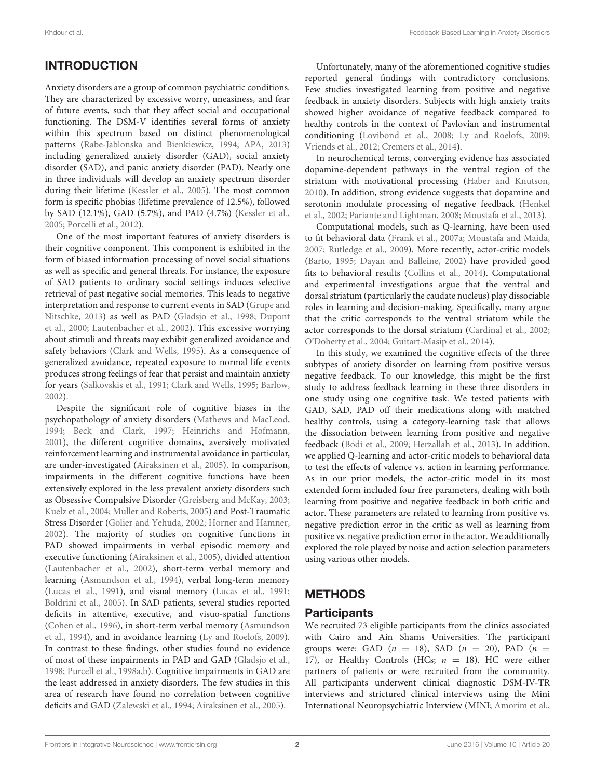# INTRODUCTION

Anxiety disorders are a group of common psychiatric conditions. They are characterized by excessive worry, uneasiness, and fear of future events, such that they affect social and occupational functioning. The DSM-V identifies several forms of anxiety within this spectrum based on distinct phenomenological patterns [\(Rabe-Jablonska and Bienkiewicz, 1994;](#page-10-0) [APA, 2013\)](#page-9-0) including generalized anxiety disorder (GAD), social anxiety disorder (SAD), and panic anxiety disorder (PAD). Nearly one in three individuals will develop an anxiety spectrum disorder during their lifetime [\(Kessler et al., 2005\)](#page-10-1). The most common form is specific phobias (lifetime prevalence of 12.5%), followed by SAD (12.1%), GAD (5.7%), and PAD (4.7%) [\(Kessler et al.,](#page-10-1) [2005;](#page-10-1) [Porcelli et al., 2012\)](#page-10-2).

One of the most important features of anxiety disorders is their cognitive component. This component is exhibited in the form of biased information processing of novel social situations as well as specific and general threats. For instance, the exposure of SAD patients to ordinary social settings induces selective retrieval of past negative social memories. This leads to negative interpretation and response to current events in SAD (Grupe and Nitschke, [2013\)](#page-10-3) as well as PAD [\(Gladsjo et al., 1998;](#page-9-1) Dupont et al., [2000;](#page-9-2) [Lautenbacher et al., 2002\)](#page-10-4). This excessive worrying about stimuli and threats may exhibit generalized avoidance and safety behaviors [\(Clark and Wells, 1995\)](#page-9-3). As a consequence of generalized avoidance, repeated exposure to normal life events produces strong feelings of fear that persist and maintain anxiety for years [\(Salkovskis et al., 1991;](#page-10-5) [Clark and Wells, 1995;](#page-9-3) [Barlow,](#page-9-4) [2002\)](#page-9-4).

Despite the significant role of cognitive biases in the psychopathology of anxiety disorders [\(Mathews and MacLeod,](#page-10-6) [1994;](#page-10-6) [Beck and Clark, 1997;](#page-9-5) [Heinrichs and Hofmann,](#page-10-7) [2001\)](#page-10-7), the different cognitive domains, aversively motivated reinforcement learning and instrumental avoidance in particular, are under-investigated [\(Airaksinen et al., 2005\)](#page-9-6). In comparison, impairments in the different cognitive functions have been extensively explored in the less prevalent anxiety disorders such as Obsessive Compulsive Disorder [\(Greisberg and McKay, 2003;](#page-10-8) [Kuelz et al., 2004;](#page-10-9) [Muller and Roberts, 2005\)](#page-10-10) and Post-Traumatic Stress Disorder [\(Golier and Yehuda, 2002;](#page-9-7) [Horner and Hamner,](#page-10-11) [2002\)](#page-10-11). The majority of studies on cognitive functions in PAD showed impairments in verbal episodic memory and executive functioning [\(Airaksinen et al., 2005\)](#page-9-6), divided attention [\(Lautenbacher et al., 2002\)](#page-10-4), short-term verbal memory and learning [\(Asmundson et al., 1994\)](#page-9-8), verbal long-term memory [\(Lucas et al., 1991\)](#page-10-12), and visual memory [\(Lucas et al., 1991;](#page-10-12) [Boldrini et al., 2005\)](#page-9-9). In SAD patients, several studies reported deficits in attentive, executive, and visuo-spatial functions [\(Cohen et al., 1996\)](#page-9-10), in short-term verbal memory (Asmundson et al., [1994\)](#page-9-8), and in avoidance learning [\(Ly and Roelofs, 2009\)](#page-10-13). In contrast to these findings, other studies found no evidence of most of these impairments in PAD and GAD [\(Gladsjo et al.,](#page-9-1) [1998;](#page-9-1) [Purcell et al., 1998a,](#page-10-14)[b\)](#page-10-15). Cognitive impairments in GAD are the least addressed in anxiety disorders. The few studies in this area of research have found no correlation between cognitive deficits and GAD [\(Zalewski et al., 1994;](#page-11-0) [Airaksinen et al., 2005\)](#page-9-6).

Unfortunately, many of the aforementioned cognitive studies reported general findings with contradictory conclusions. Few studies investigated learning from positive and negative feedback in anxiety disorders. Subjects with high anxiety traits showed higher avoidance of negative feedback compared to healthy controls in the context of Pavlovian and instrumental conditioning [\(Lovibond et al., 2008;](#page-10-16) [Ly and Roelofs, 2009;](#page-10-13) [Vriends et al., 2012;](#page-11-1) [Cremers et al., 2014\)](#page-9-11).

In neurochemical terms, converging evidence has associated dopamine-dependent pathways in the ventral region of the striatum with motivational processing [\(Haber and Knutson,](#page-10-17) [2010\)](#page-10-17). In addition, strong evidence suggests that dopamine and serotonin modulate processing of negative feedback (Henkel et al., [2002;](#page-10-18) [Pariante and Lightman, 2008;](#page-10-19) [Moustafa et al., 2013\)](#page-10-20).

Computational models, such as Q-learning, have been used to fit behavioral data [\(Frank et al., 2007a;](#page-9-12) [Moustafa and Maida,](#page-10-21) [2007;](#page-10-21) [Rutledge et al., 2009\)](#page-10-22). More recently, actor-critic models [\(Barto, 1995;](#page-9-13) [Dayan and Balleine, 2002\)](#page-9-14) have provided good fits to behavioral results [\(Collins et al., 2014\)](#page-9-15). Computational and experimental investigations argue that the ventral and dorsal striatum (particularly the caudate nucleus) play dissociable roles in learning and decision-making. Specifically, many argue that the critic corresponds to the ventral striatum while the actor corresponds to the dorsal striatum [\(Cardinal et al., 2002;](#page-9-16) [O'Doherty et al., 2004;](#page-10-23) [Guitart-Masip et al., 2014\)](#page-10-24).

In this study, we examined the cognitive effects of the three subtypes of anxiety disorder on learning from positive versus negative feedback. To our knowledge, this might be the first study to address feedback learning in these three disorders in one study using one cognitive task. We tested patients with GAD, SAD, PAD off their medications along with matched healthy controls, using a category-learning task that allows the dissociation between learning from positive and negative feedback [\(Bódi et al., 2009;](#page-9-17) [Herzallah et al., 2013\)](#page-10-25). In addition, we applied Q-learning and actor-critic models to behavioral data to test the effects of valence vs. action in learning performance. As in our prior models, the actor-critic model in its most extended form included four free parameters, dealing with both learning from positive and negative feedback in both critic and actor. These parameters are related to learning from positive vs. negative prediction error in the critic as well as learning from positive vs. negative prediction error in the actor. We additionally explored the role played by noise and action selection parameters using various other models.

# **METHODS**

## **Participants**

We recruited 73 eligible participants from the clinics associated with Cairo and Ain Shams Universities. The participant groups were: GAD  $(n = 18)$ , SAD  $(n = 20)$ , PAD  $(n = 18)$ 17), or Healthy Controls (HCs;  $n = 18$ ). HC were either partners of patients or were recruited from the community. All participants underwent clinical diagnostic DSM-IV-TR interviews and strictured clinical interviews using the Mini International Neuropsychiatric Interview (MINI; [Amorim et al.,](#page-9-18)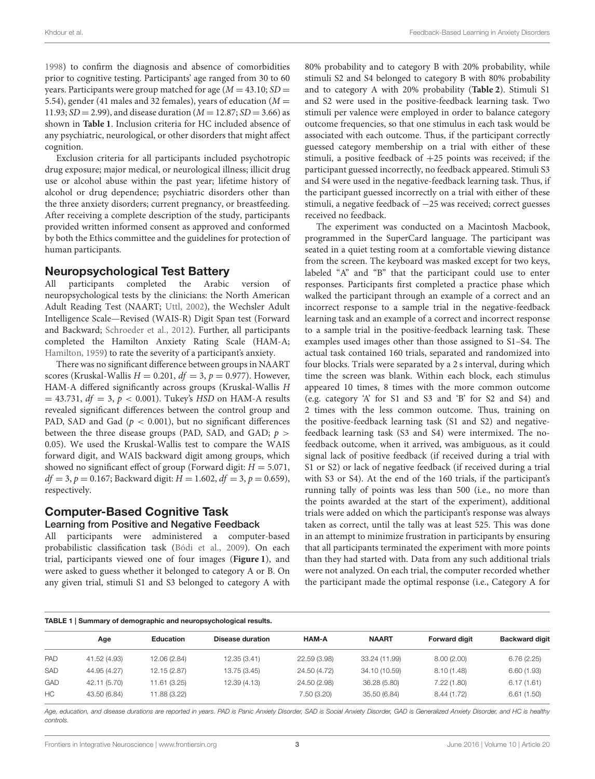[1998\)](#page-9-18) to confirm the diagnosis and absence of comorbidities prior to cognitive testing. Participants' age ranged from 30 to 60 years. Participants were group matched for age ( $M = 43.10$ ;  $SD =$ 5.54), gender (41 males and 32 females), years of education ( $M =$ 11.93;  $SD = 2.99$ ), and disease duration ( $M = 12.87$ ;  $SD = 3.66$ ) as shown in **[Table 1](#page-3-0)**. Inclusion criteria for HC included absence of any psychiatric, neurological, or other disorders that might affect cognition.

Exclusion criteria for all participants included psychotropic drug exposure; major medical, or neurological illness; illicit drug use or alcohol abuse within the past year; lifetime history of alcohol or drug dependence; psychiatric disorders other than the three anxiety disorders; current pregnancy, or breastfeeding. After receiving a complete description of the study, participants provided written informed consent as approved and conformed by both the Ethics committee and the guidelines for protection of human participants.

## Neuropsychological Test Battery

All participants completed the Arabic version of neuropsychological tests by the clinicians: the North American Adult Reading Test (NAART; [Uttl, 2002\)](#page-11-2), the Wechsler Adult Intelligence Scale—Revised (WAIS-R) Digit Span test (Forward and Backward; [Schroeder et al., 2012\)](#page-10-26). Further, all participants completed the Hamilton Anxiety Rating Scale (HAM-A; [Hamilton, 1959\)](#page-10-27) to rate the severity of a participant's anxiety.

There was no significant difference between groups in NAART scores (Kruskal-Wallis  $H = 0.201$ ,  $df = 3$ ,  $p = 0.977$ ). However, HAM-A differed significantly across groups (Kruskal-Wallis H  $=$  43.731,  $df = 3$ ,  $p < 0.001$ ). Tukey's HSD on HAM-A results revealed significant differences between the control group and PAD, SAD and Gad ( $p < 0.001$ ), but no significant differences between the three disease groups (PAD, SAD, and GAD;  $p >$ 0.05). We used the Kruskal-Wallis test to compare the WAIS forward digit, and WAIS backward digit among groups, which showed no significant effect of group (Forward digit:  $H = 5.071$ ,  $df = 3$ ,  $p = 0.167$ ; Backward digit:  $H = 1.602$ ,  $df = 3$ ,  $p = 0.659$ ), respectively.

# Computer-Based Cognitive Task

#### Learning from Positive and Negative Feedback

All participants were administered a computer-based probabilistic classification task [\(Bódi et al., 2009\)](#page-9-17). On each trial, participants viewed one of four images (**[Figure 1](#page-4-0)**), and were asked to guess whether it belonged to category A or B. On any given trial, stimuli S1 and S3 belonged to category A with 80% probability and to category B with 20% probability, while stimuli S2 and S4 belonged to category B with 80% probability and to category A with 20% probability (**[Table 2](#page-4-1)**). Stimuli S1 and S2 were used in the positive-feedback learning task. Two stimuli per valence were employed in order to balance category outcome frequencies, so that one stimulus in each task would be associated with each outcome. Thus, if the participant correctly guessed category membership on a trial with either of these stimuli, a positive feedback of  $+25$  points was received; if the participant guessed incorrectly, no feedback appeared. Stimuli S3 and S4 were used in the negative-feedback learning task. Thus, if the participant guessed incorrectly on a trial with either of these stimuli, a negative feedback of −25 was received; correct guesses received no feedback.

The experiment was conducted on a Macintosh Macbook, programmed in the SuperCard language. The participant was seated in a quiet testing room at a comfortable viewing distance from the screen. The keyboard was masked except for two keys, labeled "A" and "B" that the participant could use to enter responses. Participants first completed a practice phase which walked the participant through an example of a correct and an incorrect response to a sample trial in the negative-feedback learning task and an example of a correct and incorrect response to a sample trial in the positive-feedback learning task. These examples used images other than those assigned to S1–S4. The actual task contained 160 trials, separated and randomized into four blocks. Trials were separated by a 2 s interval, during which time the screen was blank. Within each block, each stimulus appeared 10 times, 8 times with the more common outcome (e.g. category 'A' for S1 and S3 and 'B' for S2 and S4) and 2 times with the less common outcome. Thus, training on the positive-feedback learning task (S1 and S2) and negativefeedback learning task (S3 and S4) were intermixed. The nofeedback outcome, when it arrived, was ambiguous, as it could signal lack of positive feedback (if received during a trial with S1 or S2) or lack of negative feedback (if received during a trial with S3 or S4). At the end of the 160 trials, if the participant's running tally of points was less than 500 (i.e., no more than the points awarded at the start of the experiment), additional trials were added on which the participant's response was always taken as correct, until the tally was at least 525. This was done in an attempt to minimize frustration in participants by ensuring that all participants terminated the experiment with more points than they had started with. Data from any such additional trials were not analyzed. On each trial, the computer recorded whether the participant made the optimal response (i.e., Category A for

<span id="page-3-0"></span>

| TABLE 1   Summary of demographic and neuropsychological results. |              |                  |                  |              |               |                      |                       |
|------------------------------------------------------------------|--------------|------------------|------------------|--------------|---------------|----------------------|-----------------------|
|                                                                  | Age          | <b>Education</b> | Disease duration | HAM-A        | <b>NAART</b>  | <b>Forward digit</b> | <b>Backward digit</b> |
| <b>PAD</b>                                                       | 41.52 (4.93) | 12.06 (2.84)     | 12.35 (3.41)     | 22.59 (3.98) | 33.24 (11.99) | 8.00(2.00)           | 6.76(2.25)            |
| <b>SAD</b>                                                       | 44.95 (4.27) | 12.15 (2.87)     | 13.75 (3.45)     | 24.50 (4.72) | 34.10 (10.59) | 8.10(1.48)           | 6.60(1.93)            |
| GAD                                                              | 42.11 (5.70) | 11.61 (3.25)     | 12.39 (4.13)     | 24.50 (2.98) | 36.28 (5.80)  | 7.22(1.80)           | 6.17(1.61)            |
| HC                                                               | 43.50 (6.84) | 11.88 (3.22)     |                  | 7.50 (3.20)  | 35.50 (6.84)  | 8.44(1.72)           | 6.61(1.50)            |

*Age, education, and disease durations are reported in years. PAD is Panic Anxiety Disorder, SAD is Social Anxiety Disorder, GAD is Generalized Anxiety Disorder, and HC is healthy controls.*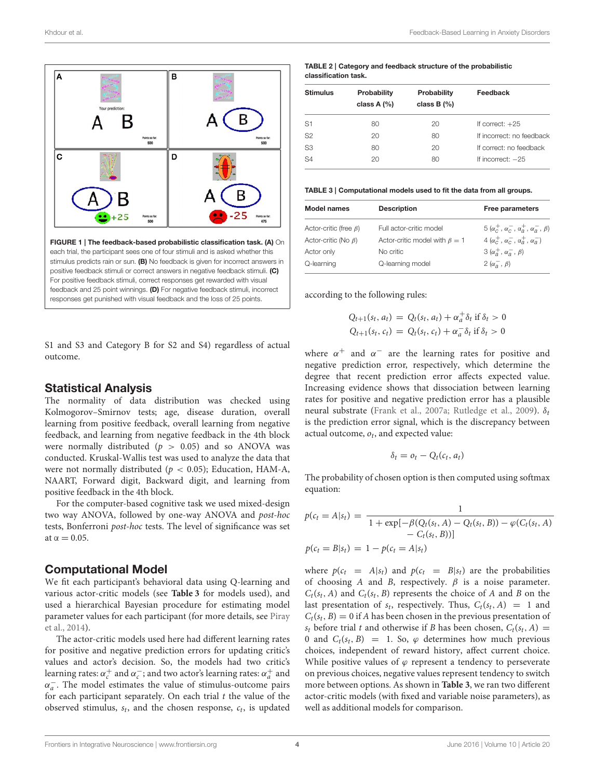

S1 and S3 and Category B for S2 and S4) regardless of actual outcome.

<span id="page-4-0"></span>responses get punished with visual feedback and the loss of 25 points.

#### Statistical Analysis

The normality of data distribution was checked using Kolmogorov–Smirnov tests; age, disease duration, overall learning from positive feedback, overall learning from negative feedback, and learning from negative feedback in the 4th block were normally distributed ( $p > 0.05$ ) and so ANOVA was conducted. Kruskal-Wallis test was used to analyze the data that were not normally distributed ( $p < 0.05$ ); Education, HAM-A, NAART, Forward digit, Backward digit, and learning from positive feedback in the 4th block.

For the computer-based cognitive task we used mixed-design two way ANOVA, followed by one-way ANOVA and post-hoc tests, Bonferroni post-hoc tests. The level of significance was set at  $\alpha = 0.05$ .

#### Computational Model

We fit each participant's behavioral data using Q-learning and various actor-critic models (see **[Table 3](#page-4-2)** for models used), and used a hierarchical Bayesian procedure for estimating model parameter values for each participant (for more details, see Piray et al., [2014\)](#page-10-28).

The actor-critic models used here had different learning rates for positive and negative prediction errors for updating critic's values and actor's decision. So, the models had two critic's learning rates:  $\alpha_c^+$  and  $\alpha_c^-$ ; and two actor's learning rates:  $\alpha_a^+$  and  $\alpha_a^-$ . The model estimates the value of stimulus-outcome pairs for each participant separately. On each trial  $t$  the value of the observed stimulus,  $s_t$ , and the chosen response,  $c_t$ , is updated

<span id="page-4-1"></span>

| TABLE 2   Category and feedback structure of the probabilistic |
|----------------------------------------------------------------|
| classification task.                                           |

| <b>Stimulus</b> | Probability<br>class $A(\%)$ | Probability<br>class $B(\%)$ | Feedback                  |
|-----------------|------------------------------|------------------------------|---------------------------|
| S1              | 80                           | 20                           | If correct: $+25$         |
| S <sub>2</sub>  | 20                           | 80                           | If incorrect: no feedback |
| S <sub>3</sub>  | 80                           | 20                           | If correct: no feedback   |
| S <sub>4</sub>  | 20                           | 80                           | If incorrect: $-25$       |
|                 |                              |                              |                           |

<span id="page-4-2"></span>TABLE 3 | Computational models used to fit the data from all groups.

| <b>Model names</b>           | <b>Description</b>                  | <b>Free parameters</b>                                      |
|------------------------------|-------------------------------------|-------------------------------------------------------------|
| Actor-critic (free $\beta$ ) | Full actor-critic model             | 5 $(\alpha_c^+, \alpha_c^-, \alpha_a^+, \alpha_a^-, \beta)$ |
| Actor-critic (No $\beta$ )   | Actor-critic model with $\beta = 1$ | $4(\alpha^+_{0}, \alpha^-_{0}, \alpha^+_{0}, \alpha^-_{0})$ |
| Actor only                   | No critic                           | $3(\alpha_a^+, \alpha_a^-, \beta)$                          |
| Q-learning                   | Q-learning model                    | $2(\alpha_{\alpha}^-, \beta)$                               |

according to the following rules:

$$
Q_{t+1}(s_t, a_t) = Q_t(s_t, a_t) + \alpha_a^+ \delta_t \text{ if } \delta_t > 0
$$
  

$$
Q_{t+1}(s_t, c_t) = Q_t(s_t, c_t) + \alpha_a^- \delta_t \text{ if } \delta_t > 0
$$

where  $\alpha^+$  and  $\alpha^-$  are the learning rates for positive and negative prediction error, respectively, which determine the degree that recent prediction error affects expected value. Increasing evidence shows that dissociation between learning rates for positive and negative prediction error has a plausible neural substrate [\(Frank et al., 2007a;](#page-9-12) [Rutledge et al., 2009\)](#page-10-22).  $\delta_t$ is the prediction error signal, which is the discrepancy between actual outcome,  $o_t$ , and expected value:

$$
\delta_t = o_t - Q_t(c_t, a_t)
$$

The probability of chosen option is then computed using softmax equation:

$$
p(c_t = A|s_t) = \frac{1}{1 + \exp[-\beta(Q_t(s_t, A) - Q_t(s_t, B)) - \varphi(C_t(s_t, A)) - C_t(s_t, B))]}
$$
  

$$
p(c_t = B|s_t) = 1 - p(c_t = A|s_t)
$$

where  $p(c_t = A|s_t)$  and  $p(c_t = B|s_t)$  are the probabilities of choosing A and B, respectively.  $\beta$  is a noise parameter.  $C_t(s_t, A)$  and  $C_t(s_t, B)$  represents the choice of A and B on the last presentation of  $s_t$ , respectively. Thus,  $C_t(s_t, A) = 1$  and  $C_t(s_t, B) = 0$  if A has been chosen in the previous presentation of  $s_t$  before trial t and otherwise if B has been chosen,  $C_t(s_t, A)$  = 0 and  $C_t(s_t, B) = 1$ . So,  $\varphi$  determines how much previous choices, independent of reward history, affect current choice. While positive values of  $\varphi$  represent a tendency to perseverate on previous choices, negative values represent tendency to switch more between options. As shown in **[Table 3](#page-4-2)**, we ran two different actor-critic models (with fixed and variable noise parameters), as well as additional models for comparison.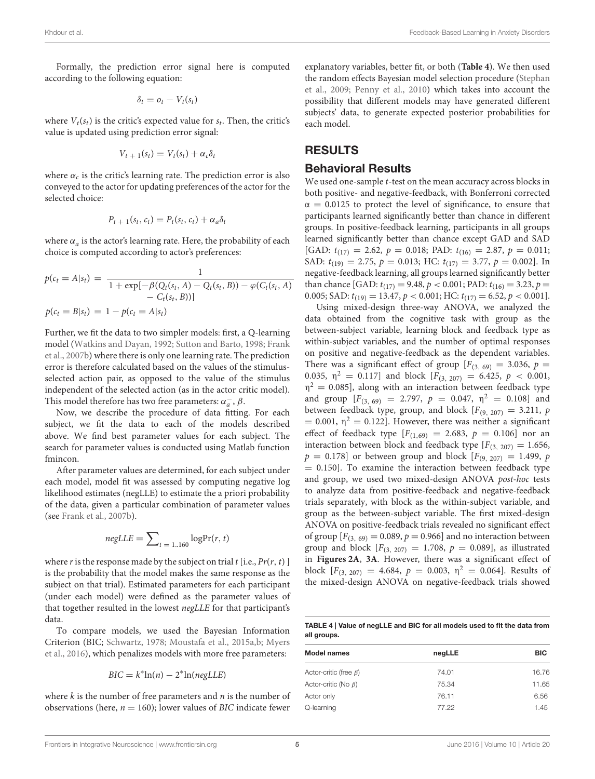Formally, the prediction error signal here is computed according to the following equation:

$$
\delta_t = o_t - V_t(s_t)
$$

where  $V_t(s_t)$  is the critic's expected value for  $s_t$ . Then, the critic's value is updated using prediction error signal:

$$
V_{t+1}(s_t) = V_t(s_t) + \alpha_c \delta_t
$$

where  $\alpha_c$  is the critic's learning rate. The prediction error is also conveyed to the actor for updating preferences of the actor for the selected choice:

$$
P_{t+1}(s_t, c_t) = P_t(s_t, c_t) + \alpha_a \delta_t
$$

where  $\alpha_a$  is the actor's learning rate. Here, the probability of each choice is computed according to actor's preferences:

$$
p(c_t = A|s_t) = \frac{1}{1 + \exp[-\beta(Q_t(s_t, A) - Q_t(s_t, B)) - \varphi(C_t(s_t, A)) - C_t(s_t, B))]}
$$
  

$$
p(c_t = B|s_t) = 1 - p(c_t = A|s_t)
$$

Further, we fit the data to two simpler models: first, a Q-learning model [\(Watkins and Dayan, 1992;](#page-11-3) [Sutton and Barto, 1998;](#page-11-4) Frank et al., [2007b\)](#page-9-19) where there is only one learning rate. The prediction error is therefore calculated based on the values of the stimulusselected action pair, as opposed to the value of the stimulus independent of the selected action (as in the actor critic model). This model therefore has two free parameters:  $\alpha_a^-$ ,  $\beta$ .

Now, we describe the procedure of data fitting. For each subject, we fit the data to each of the models described above. We find best parameter values for each subject. The search for parameter values is conducted using Matlab function fmincon.

After parameter values are determined, for each subject under each model, model fit was assessed by computing negative log likelihood estimates (negLLE) to estimate the a priori probability of the data, given a particular combination of parameter values (see [Frank et al., 2007b\)](#page-9-19).

$$
negLLE = \sum_{t=1..160} logPr(r, t)
$$

where r is the response made by the subject on trial t [i.e.,  $Pr(r, t)$ ] is the probability that the model makes the same response as the subject on that trial). Estimated parameters for each participant (under each model) were defined as the parameter values of that together resulted in the lowest negLLE for that participant's data.

To compare models, we used the Bayesian Information Criterion (BIC; [Schwartz, 1978;](#page-11-5) [Moustafa et al., 2015a,](#page-10-29)[b;](#page-10-30) Myers et al., [2016\)](#page-10-31), which penalizes models with more free parameters:

$$
BIC = k^* \ln(n) - 2^* \ln(negLLE)
$$

where  $k$  is the number of free parameters and  $n$  is the number of observations (here,  $n = 160$ ); lower values of *BIC* indicate fewer explanatory variables, better fit, or both (**[Table 4](#page-5-0)**). We then used the random effects Bayesian model selection procedure (Stephan et al., [2009;](#page-11-6) [Penny et al., 2010\)](#page-10-32) which takes into account the possibility that different models may have generated different subjects' data, to generate expected posterior probabilities for each model.

## RESULTS

#### Behavioral Results

We used one-sample *t*-test on the mean accuracy across blocks in both positive- and negative-feedback, with Bonferroni corrected  $\alpha = 0.0125$  to protect the level of significance, to ensure that participants learned significantly better than chance in different groups. In positive-feedback learning, participants in all groups learned significantly better than chance except GAD and SAD [GAD:  $t_{(17)} = 2.62$ ,  $p = 0.018$ ; PAD:  $t_{(16)} = 2.87$ ,  $p = 0.011$ ; SAD:  $t_{(19)} = 2.75$ ,  $p = 0.013$ ; HC:  $t_{(17)} = 3.77$ ,  $p = 0.002$ ]. In negative-feedback learning, all groups learned significantly better than chance [GAD:  $t_{(17)} = 9.48$ ,  $p < 0.001$ ; PAD:  $t_{(16)} = 3.23$ ,  $p =$ 0.005; SAD:  $t_{(19)} = 13.47, p < 0.001$ ; HC:  $t_{(17)} = 6.52, p < 0.001$ .

Using mixed-design three-way ANOVA, we analyzed the data obtained from the cognitive task with group as the between-subject variable, learning block and feedback type as within-subject variables, and the number of optimal responses on positive and negative-feedback as the dependent variables. There was a significant effect of group  $[F_{(3, 69)} = 3.036, p =$ 0.035,  $\eta^2 = 0.117$ ] and block  $[F_{(3, 207)} = 6.425, p < 0.001,$  $\eta^2 = 0.085$ ], along with an interaction between feedback type and group  $[F_{(3, 69)} = 2.797, p = 0.047, \eta^2 = 0.108]$  and between feedback type, group, and block  $[F_{(9, 207)} = 3.211, p$  $= 0.001$ ,  $\eta^2 = 0.122$ . However, there was neither a significant effect of feedback type  $[F(1,69) = 2.683, p = 0.106]$  nor an interaction between block and feedback type  $[F_{(3, 207)} = 1.656,$  $p = 0.178$  or between group and block  $[F(9, 207) = 1.499, p$  $= 0.150$ . To examine the interaction between feedback type and group, we used two mixed-design ANOVA post-hoc tests to analyze data from positive-feedback and negative-feedback trials separately, with block as the within-subject variable, and group as the between-subject variable. The first mixed-design ANOVA on positive-feedback trials revealed no significant effect of group  $[F_{(3, 69)} = 0.089, p = 0.966]$  and no interaction between group and block  $[F_{(3, 207)} = 1.708, p = 0.089]$ , as illustrated in **[Figures 2A](#page-6-0)**, **[3A](#page-6-1)**. However, there was a significant effect of block  $[F_{(3, 207)} = 4.684, p = 0.003, \eta^2 = 0.064]$ . Results of the mixed-design ANOVA on negative-feedback trials showed

#### <span id="page-5-0"></span>TABLE 4 | Value of negLLE and BIC for all models used to fit the data from all groups.

| <b>Model names</b>           | negLLE | <b>BIC</b> |  |
|------------------------------|--------|------------|--|
| Actor-critic (free $\beta$ ) | 74.01  | 16.76      |  |
| Actor-critic (No $\beta$ )   | 75.34  | 11.65      |  |
| Actor only                   | 76.11  | 6.56       |  |
| Q-learning                   | 77.22  | 1.45       |  |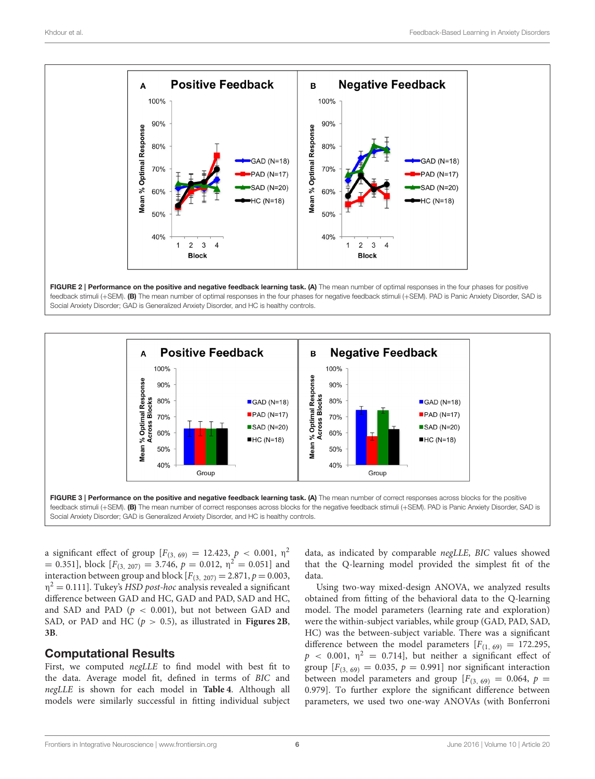

<span id="page-6-0"></span>



<span id="page-6-1"></span>a significant effect of group  $[F_{(3, 69)} = 12.423, p < 0.001, \eta^2]$  $= 0.351$ , block  $[F_{(3, 207)} = 3.746, p = 0.012, \eta^2 = 0.051]$  and interaction between group and block  $[F_{(3, 207)} = 2.871, p = 0.003,$  $η<sup>2</sup> = 0.111$ ]. Tukey's HSD post-hoc analysis revealed a significant difference between GAD and HC, GAD and PAD, SAD and HC, and SAD and PAD ( $p < 0.001$ ), but not between GAD and SAD, or PAD and HC ( $p > 0.5$ ), as illustrated in **[Figures 2B](#page-6-0)**, **[3B](#page-6-1)**.

## Computational Results

First, we computed negLLE to find model with best fit to the data. Average model fit, defined in terms of BIC and negLLE is shown for each model in **[Table 4](#page-5-0)**. Although all models were similarly successful in fitting individual subject data, as indicated by comparable negLLE, BIC values showed that the Q-learning model provided the simplest fit of the data.

Using two-way mixed-design ANOVA, we analyzed results obtained from fitting of the behavioral data to the Q-learning model. The model parameters (learning rate and exploration) were the within-subject variables, while group (GAD, PAD, SAD, HC) was the between-subject variable. There was a significant difference between the model parameters  $[F_{(1, 69)} = 172.295,$  $p$  < 0.001,  $\eta^2$  = 0.714], but neither a significant effect of group  $[F_{(3, 69)} = 0.035, p = 0.991]$  nor significant interaction between model parameters and group  $[F_{(3, 69)} = 0.064, p =$ 0.979]. To further explore the significant difference between parameters, we used two one-way ANOVAs (with Bonferroni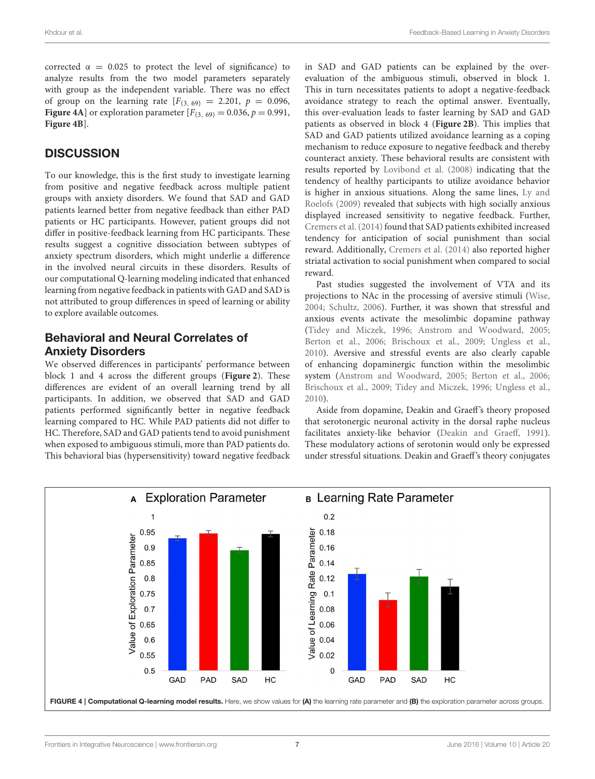corrected  $\alpha = 0.025$  to protect the level of significance) to analyze results from the two model parameters separately with group as the independent variable. There was no effect of group on the learning rate  $[F_{(3, 69)} = 2.201, p = 0.096,$ **[Figure 4A](#page-7-0)**] or exploration parameter  $[F_{(3, 69)} = 0.036, p = 0.991,$ **[Figure 4B](#page-7-0)**].

## **DISCUSSION**

To our knowledge, this is the first study to investigate learning from positive and negative feedback across multiple patient groups with anxiety disorders. We found that SAD and GAD patients learned better from negative feedback than either PAD patients or HC participants. However, patient groups did not differ in positive-feedback learning from HC participants. These results suggest a cognitive dissociation between subtypes of anxiety spectrum disorders, which might underlie a difference in the involved neural circuits in these disorders. Results of our computational Q-learning modeling indicated that enhanced learning from negative feedback in patients with GAD and SAD is not attributed to group differences in speed of learning or ability to explore available outcomes.

## Behavioral and Neural Correlates of Anxiety Disorders

We observed differences in participants' performance between block 1 and 4 across the different groups (**[Figure 2](#page-6-0)**). These differences are evident of an overall learning trend by all participants. In addition, we observed that SAD and GAD patients performed significantly better in negative feedback learning compared to HC. While PAD patients did not differ to HC. Therefore, SAD and GAD patients tend to avoid punishment when exposed to ambiguous stimuli, more than PAD patients do. This behavioral bias (hypersensitivity) toward negative feedback in SAD and GAD patients can be explained by the overevaluation of the ambiguous stimuli, observed in block 1. This in turn necessitates patients to adopt a negative-feedback avoidance strategy to reach the optimal answer. Eventually, this over-evaluation leads to faster learning by SAD and GAD patients as observed in block 4 (**[Figure 2B](#page-6-0)**). This implies that SAD and GAD patients utilized avoidance learning as a coping mechanism to reduce exposure to negative feedback and thereby counteract anxiety. These behavioral results are consistent with results reported by [Lovibond et al. \(2008\)](#page-10-16) indicating that the tendency of healthy participants to utilize avoidance behavior is higher in anxious situations. Along the same lines, Ly and Roelofs [\(2009\)](#page-10-13) revealed that subjects with high socially anxious displayed increased sensitivity to negative feedback. Further, [Cremers et al. \(2014\)](#page-9-11) found that SAD patients exhibited increased tendency for anticipation of social punishment than social reward. Additionally, [Cremers et al. \(2014\)](#page-9-11) also reported higher striatal activation to social punishment when compared to social reward.

Past studies suggested the involvement of VTA and its projections to NAc in the processing of aversive stimuli [\(Wise,](#page-11-7) [2004;](#page-11-7) [Schultz, 2006\)](#page-11-8). Further, it was shown that stressful and anxious events activate the mesolimbic dopamine pathway [\(Tidey and Miczek, 1996;](#page-11-9) [Anstrom and Woodward, 2005;](#page-9-20) [Berton et al., 2006;](#page-9-21) [Brischoux et al., 2009;](#page-9-22) [Ungless et al.,](#page-11-10) [2010\)](#page-11-10). Aversive and stressful events are also clearly capable of enhancing dopaminergic function within the mesolimbic system [\(Anstrom and Woodward, 2005;](#page-9-20) [Berton et al., 2006;](#page-9-21) [Brischoux et al., 2009;](#page-9-22) [Tidey and Miczek, 1996;](#page-11-9) [Ungless et al.,](#page-11-10) [2010\)](#page-11-10).

Aside from dopamine, Deakin and Graeff's theory proposed that serotonergic neuronal activity in the dorsal raphe nucleus facilitates anxiety-like behavior [\(Deakin and Graeff, 1991\)](#page-9-23). These modulatory actions of serotonin would only be expressed under stressful situations. Deakin and Graeff's theory conjugates

<span id="page-7-0"></span>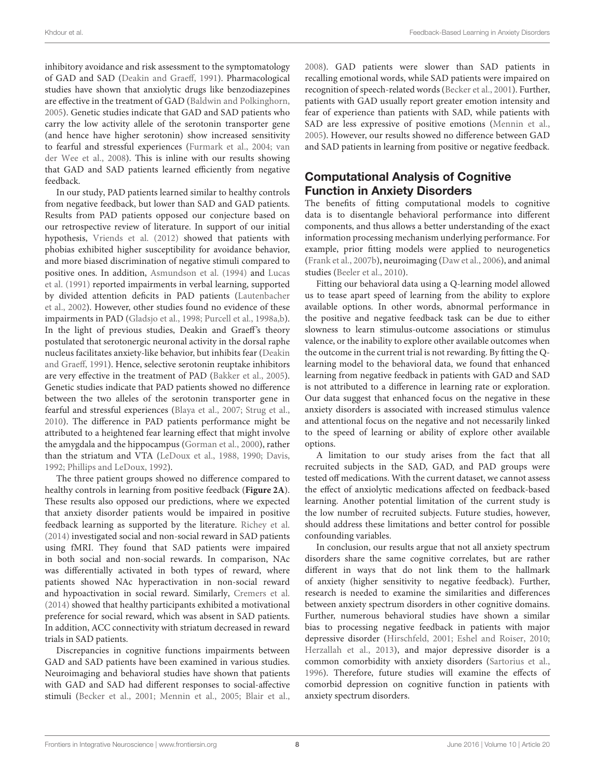inhibitory avoidance and risk assessment to the symptomatology of GAD and SAD [\(Deakin and Graeff, 1991\)](#page-9-23). Pharmacological studies have shown that anxiolytic drugs like benzodiazepines are effective in the treatment of GAD [\(Baldwin and Polkinghorn,](#page-9-24) [2005\)](#page-9-24). Genetic studies indicate that GAD and SAD patients who carry the low activity allele of the serotonin transporter gene (and hence have higher serotonin) show increased sensitivity to fearful and stressful experiences [\(Furmark et al., 2004;](#page-9-25) van der Wee et al., [2008\)](#page-11-11). This is inline with our results showing that GAD and SAD patients learned efficiently from negative feedback.

In our study, PAD patients learned similar to healthy controls from negative feedback, but lower than SAD and GAD patients. Results from PAD patients opposed our conjecture based on our retrospective review of literature. In support of our initial hypothesis, [Vriends et al. \(2012\)](#page-11-1) showed that patients with phobias exhibited higher susceptibility for avoidance behavior, and more biased discrimination of negative stimuli compared to positive ones. In addition, [Asmundson et al. \(1994\)](#page-9-8) and Lucas et al. [\(1991\)](#page-10-12) reported impairments in verbal learning, supported by divided attention deficits in PAD patients (Lautenbacher et al., [2002\)](#page-10-4). However, other studies found no evidence of these impairments in PAD [\(Gladsjo et al., 1998;](#page-9-1) [Purcell et al., 1998a,](#page-10-14)[b\)](#page-10-15). In the light of previous studies, Deakin and Graeff's theory postulated that serotonergic neuronal activity in the dorsal raphe nucleus facilitates anxiety-like behavior, but inhibits fear (Deakin and Graeff, [1991\)](#page-9-23). Hence, selective serotonin reuptake inhibitors are very effective in the treatment of PAD [\(Bakker et al., 2005\)](#page-9-26). Genetic studies indicate that PAD patients showed no difference between the two alleles of the serotonin transporter gene in fearful and stressful experiences [\(Blaya et al., 2007;](#page-9-27) [Strug et al.,](#page-11-12) [2010\)](#page-11-12). The difference in PAD patients performance might be attributed to a heightened fear learning effect that might involve the amygdala and the hippocampus [\(Gorman et al., 2000\)](#page-9-28), rather than the striatum and VTA [\(LeDoux et al., 1988,](#page-10-33) [1990;](#page-10-34) [Davis,](#page-9-29) [1992;](#page-9-29) [Phillips and LeDoux, 1992\)](#page-10-35).

The three patient groups showed no difference compared to healthy controls in learning from positive feedback (**[Figure 2A](#page-6-0)**). These results also opposed our predictions, where we expected that anxiety disorder patients would be impaired in positive feedback learning as supported by the literature. [Richey et al.](#page-10-36) [\(2014\)](#page-10-36) investigated social and non-social reward in SAD patients using fMRI. They found that SAD patients were impaired in both social and non-social rewards. In comparison, NAc was differentially activated in both types of reward, where patients showed NAc hyperactivation in non-social reward and hypoactivation in social reward. Similarly, [Cremers et al.](#page-9-11) [\(2014\)](#page-9-11) showed that healthy participants exhibited a motivational preference for social reward, which was absent in SAD patients. In addition, ACC connectivity with striatum decreased in reward trials in SAD patients.

Discrepancies in cognitive functions impairments between GAD and SAD patients have been examined in various studies. Neuroimaging and behavioral studies have shown that patients with GAD and SAD had different responses to social-affective stimuli [\(Becker et al., 2001;](#page-9-30) [Mennin et al., 2005;](#page-10-37) [Blair et al.,](#page-9-31) [2008\)](#page-9-31). GAD patients were slower than SAD patients in recalling emotional words, while SAD patients were impaired on recognition of speech-related words [\(Becker et al., 2001\)](#page-9-30). Further, patients with GAD usually report greater emotion intensity and fear of experience than patients with SAD, while patients with SAD are less expressive of positive emotions [\(Mennin et al.,](#page-10-37) [2005\)](#page-10-37). However, our results showed no difference between GAD and SAD patients in learning from positive or negative feedback.

# Computational Analysis of Cognitive Function in Anxiety Disorders

The benefits of fitting computational models to cognitive data is to disentangle behavioral performance into different components, and thus allows a better understanding of the exact information processing mechanism underlying performance. For example, prior fitting models were applied to neurogenetics [\(Frank et al., 2007b\)](#page-9-19), neuroimaging [\(Daw et al., 2006\)](#page-9-32), and animal studies [\(Beeler et al., 2010\)](#page-9-33).

Fitting our behavioral data using a Q-learning model allowed us to tease apart speed of learning from the ability to explore available options. In other words, abnormal performance in the positive and negative feedback task can be due to either slowness to learn stimulus-outcome associations or stimulus valence, or the inability to explore other available outcomes when the outcome in the current trial is not rewarding. By fitting the Qlearning model to the behavioral data, we found that enhanced learning from negative feedback in patients with GAD and SAD is not attributed to a difference in learning rate or exploration. Our data suggest that enhanced focus on the negative in these anxiety disorders is associated with increased stimulus valence and attentional focus on the negative and not necessarily linked to the speed of learning or ability of explore other available options.

A limitation to our study arises from the fact that all recruited subjects in the SAD, GAD, and PAD groups were tested off medications. With the current dataset, we cannot assess the effect of anxiolytic medications affected on feedback-based learning. Another potential limitation of the current study is the low number of recruited subjects. Future studies, however, should address these limitations and better control for possible confounding variables.

In conclusion, our results argue that not all anxiety spectrum disorders share the same cognitive correlates, but are rather different in ways that do not link them to the hallmark of anxiety (higher sensitivity to negative feedback). Further, research is needed to examine the similarities and differences between anxiety spectrum disorders in other cognitive domains. Further, numerous behavioral studies have shown a similar bias to processing negative feedback in patients with major depressive disorder [\(Hirschfeld, 2001;](#page-10-38) [Eshel and Roiser, 2010;](#page-9-34) [Herzallah et al., 2013\)](#page-10-25), and major depressive disorder is a common comorbidity with anxiety disorders [\(Sartorius et al.,](#page-10-39) [1996\)](#page-10-39). Therefore, future studies will examine the effects of comorbid depression on cognitive function in patients with anxiety spectrum disorders.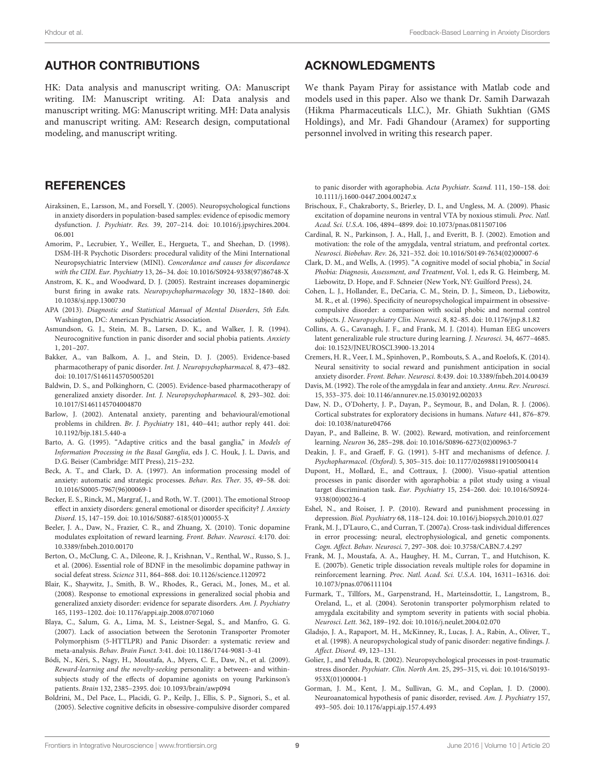## AUTHOR CONTRIBUTIONS

HK: Data analysis and manuscript writing. OA: Manuscript writing. IM: Manuscript writing. AI: Data analysis and manuscript writing. MG: Manuscript writing. MH: Data analysis and manuscript writing. AM: Research design, computational modeling, and manuscript writing.

## **REFERENCES**

- <span id="page-9-6"></span>Airaksinen, E., Larsson, M., and Forsell, Y. (2005). Neuropsychological functions in anxiety disorders in population-based samples: evidence of episodic memory dysfunction. J. Psychiatr. Res. 39, 207–214. doi: 10.1016/j.jpsychires.2004. 06.001
- <span id="page-9-18"></span>Amorim, P., Lecrubier, Y., Weiller, E., Hergueta, T., and Sheehan, D. (1998). DSM-IH-R Psychotic Disorders: procedural validity of the Mini International Neuropsychiatric Interview (MINI). Concordance and causes for discordance with the CIDI. Eur. Psychiatry 13, 26–34. doi: 10.1016/S0924-9338(97)86748-X
- <span id="page-9-20"></span>Anstrom, K. K., and Woodward, D. J. (2005). Restraint increases dopaminergic burst firing in awake rats. Neuropsychopharmacology 30, 1832–1840. doi: 10.1038/sj.npp.1300730
- <span id="page-9-0"></span>APA (2013). Diagnostic and Statistical Manual of Mental Disorders, 5th Edn. Washington, DC: American Pyschiatric Association.
- <span id="page-9-8"></span>Asmundson, G. J., Stein, M. B., Larsen, D. K., and Walker, J. R. (1994). Neurocognitive function in panic disorder and social phobia patients. Anxiety 1, 201–207.
- <span id="page-9-26"></span>Bakker, A., van Balkom, A. J., and Stein, D. J. (2005). Evidence-based pharmacotherapy of panic disorder. Int. J. Neuropsychopharmacol. 8, 473–482. doi: 10.1017/S1461145705005201
- <span id="page-9-24"></span>Baldwin, D. S., and Polkinghorn, C. (2005). Evidence-based pharmacotherapy of generalized anxiety disorder. Int. J. Neuropsychopharmacol. 8, 293–302. doi: 10.1017/S1461145704004870
- <span id="page-9-4"></span>Barlow, J. (2002). Antenatal anxiety, parenting and behavioural/emotional problems in children. Br. J. Psychiatry 181, 440–441; author reply 441. doi: 10.1192/bjp.181.5.440-a
- <span id="page-9-13"></span>Barto, A. G. (1995). "Adaptive critics and the basal ganglia," in Models of Information Processing in the Basal Ganglia, eds J. C. Houk, J. L. Davis, and D.G. Beiser (Cambridge: MIT Press), 215–232.
- <span id="page-9-5"></span>Beck, A. T., and Clark, D. A. (1997). An information processing model of anxiety: automatic and strategic processes. Behav. Res. Ther. 35, 49–58. doi: 10.1016/S0005-7967(96)00069-1
- <span id="page-9-30"></span>Becker, E. S., Rinck, M., Margraf, J., and Roth, W. T. (2001). The emotional Stroop effect in anxiety disorders: general emotional or disorder specificity? J. Anxiety Disord. 15, 147–159. doi: 10.1016/S0887-6185(01)00055-X
- <span id="page-9-33"></span>Beeler, J. A., Daw, N., Frazier, C. R., and Zhuang, X. (2010). Tonic dopamine modulates exploitation of reward learning. Front. Behav. Neurosci. 4:170. doi: 10.3389/fnbeh.2010.00170
- <span id="page-9-21"></span>Berton, O., McClung, C. A., Dileone, R. J., Krishnan, V., Renthal, W., Russo, S. J., et al. (2006). Essential role of BDNF in the mesolimbic dopamine pathway in social defeat stress. Science 311, 864–868. doi: 10.1126/science.1120972
- <span id="page-9-31"></span>Blair, K., Shaywitz, J., Smith, B. W., Rhodes, R., Geraci, M., Jones, M., et al. (2008). Response to emotional expressions in generalized social phobia and generalized anxiety disorder: evidence for separate disorders. Am. J. Psychiatry 165, 1193–1202. doi: 10.1176/appi.ajp.2008.07071060
- <span id="page-9-27"></span>Blaya, C., Salum, G. A., Lima, M. S., Leistner-Segal, S., and Manfro, G. G. (2007). Lack of association between the Serotonin Transporter Promoter Polymorphism (5-HTTLPR) and Panic Disorder: a systematic review and meta-analysis. Behav. Brain Funct. 3:41. doi: 10.1186/1744-9081-3-41
- <span id="page-9-17"></span>Bódi, N., Kéri, S., Nagy, H., Moustafa, A., Myers, C. E., Daw, N., et al. (2009). Reward-learning and the novelty-seeking personality: a between- and withinsubjects study of the effects of dopamine agonists on young Parkinson's patients. Brain 132, 2385–2395. doi: 10.1093/brain/awp094
- <span id="page-9-9"></span>Boldrini, M., Del Pace, L., Placidi, G. P., Keilp, J., Ellis, S. P., Signori, S., et al. (2005). Selective cognitive deficits in obsessive-compulsive disorder compared

## ACKNOWLEDGMENTS

We thank Payam Piray for assistance with Matlab code and models used in this paper. Also we thank Dr. Samih Darwazah (Hikma Pharmaceuticals LLC.), Mr. Ghiath Sukhtian (GMS Holdings), and Mr. Fadi Ghandour (Aramex) for supporting personnel involved in writing this research paper.

to panic disorder with agoraphobia. Acta Psychiatr. Scand. 111, 150–158. doi: 10.1111/j.1600-0447.2004.00247.x

- <span id="page-9-22"></span>Brischoux, F., Chakraborty, S., Brierley, D. I., and Ungless, M. A. (2009). Phasic excitation of dopamine neurons in ventral VTA by noxious stimuli. Proc. Natl. Acad. Sci. U.S.A. 106, 4894–4899. doi: 10.1073/pnas.0811507106
- <span id="page-9-16"></span>Cardinal, R. N., Parkinson, J. A., Hall, J., and Everitt, B. J. (2002). Emotion and motivation: the role of the amygdala, ventral striatum, and prefrontal cortex. Neurosci. Biobehav. Rev. 26, 321–352. doi: 10.1016/S0149-7634(02)00007-6
- <span id="page-9-3"></span>Clark, D. M., and Wells, A. (1995). "A cognitive model of social phobia," in Social Phobia: Diagnosis, Assessment, and Treatment, Vol. 1, eds R. G. Heimberg, M. Liebowitz, D. Hope, and F. Schneier (New York, NY: Guilford Press), 24.
- <span id="page-9-10"></span>Cohen, L. J., Hollander, E., DeCaria, C. M., Stein, D. J., Simeon, D., Liebowitz, M. R., et al. (1996). Specificity of neuropsychological impairment in obsessivecompulsive disorder: a comparison with social phobic and normal control subjects. J. Neuropsychiatry Clin. Neurosci. 8, 82–85. doi: 10.1176/jnp.8.1.82
- <span id="page-9-15"></span>Collins, A. G., Cavanagh, J. F., and Frank, M. J. (2014). Human EEG uncovers latent generalizable rule structure during learning. J. Neurosci. 34, 4677–4685. doi: 10.1523/JNEUROSCI.3900-13.2014
- <span id="page-9-11"></span>Cremers, H. R., Veer, I. M., Spinhoven, P., Rombouts, S. A., and Roelofs, K. (2014). Neural sensitivity to social reward and punishment anticipation in social anxiety disorder. Front. Behav. Neurosci. 8:439. doi: 10.3389/fnbeh.2014.00439
- <span id="page-9-29"></span>Davis, M. (1992). The role of the amygdala in fear and anxiety. Annu. Rev. Neurosci. 15, 353–375. doi: 10.1146/annurev.ne.15.030192.002033
- <span id="page-9-32"></span>Daw, N. D., O'Doherty, J. P., Dayan, P., Seymour, B., and Dolan, R. J. (2006). Cortical substrates for exploratory decisions in humans. Nature 441, 876–879. doi: 10.1038/nature04766
- <span id="page-9-14"></span>Dayan, P., and Balleine, B. W. (2002). Reward, motivation, and reinforcement learning. Neuron 36, 285–298. doi: 10.1016/S0896-6273(02)00963-7
- <span id="page-9-23"></span>Deakin, J. F., and Graeff, F. G. (1991). 5-HT and mechanisms of defence. J. Psychopharmacol. (Oxford). 5, 305–315. doi: 10.1177/026988119100500414
- <span id="page-9-2"></span>Dupont, H., Mollard, E., and Cottraux, J. (2000). Visuo-spatial attention processes in panic disorder with agoraphobia: a pilot study using a visual target discrimination task. Eur. Psychiatry 15, 254–260. doi: 10.1016/S0924- 9338(00)00236-4
- <span id="page-9-34"></span>Eshel, N., and Roiser, J. P. (2010). Reward and punishment processing in depression. Biol. Psychiatry 68, 118–124. doi: 10.1016/j.biopsych.2010.01.027
- <span id="page-9-12"></span>Frank, M. J., D'Lauro, C., and Curran, T. (2007a). Cross-task individual differences in error processing: neural, electrophysiological, and genetic components. Cogn. Affect. Behav. Neurosci. 7, 297–308. doi: 10.3758/CABN.7.4.297
- <span id="page-9-19"></span>Frank, M. J., Moustafa, A. A., Haughey, H. M., Curran, T., and Hutchison, K. E. (2007b). Genetic triple dissociation reveals multiple roles for dopamine in reinforcement learning. Proc. Natl. Acad. Sci. U.S.A. 104, 16311–16316. doi: 10.1073/pnas.0706111104
- <span id="page-9-25"></span>Furmark, T., Tillfors, M., Garpenstrand, H., Marteinsdottir, I., Langstrom, B., Oreland, L., et al. (2004). Serotonin transporter polymorphism related to amygdala excitability and symptom severity in patients with social phobia. Neurosci. Lett. 362, 189–192. doi: 10.1016/j.neulet.2004.02.070
- <span id="page-9-1"></span>Gladsjo, J. A., Rapaport, M. H., McKinney, R., Lucas, J. A., Rabin, A., Oliver, T., et al. (1998). A neuropsychological study of panic disorder: negative findings. J. Affect. Disord. 49, 123–131.
- <span id="page-9-7"></span>Golier, J., and Yehuda, R. (2002). Neuropsychological processes in post-traumatic stress disorder. Psychiatr. Clin. North Am. 25, 295–315, vi. doi: 10.1016/S0193- 953X(01)00004-1
- <span id="page-9-28"></span>Gorman, J. M., Kent, J. M., Sullivan, G. M., and Coplan, J. D. (2000). Neuroanatomical hypothesis of panic disorder, revised. Am. J. Psychiatry 157, 493–505. doi: 10.1176/appi.ajp.157.4.493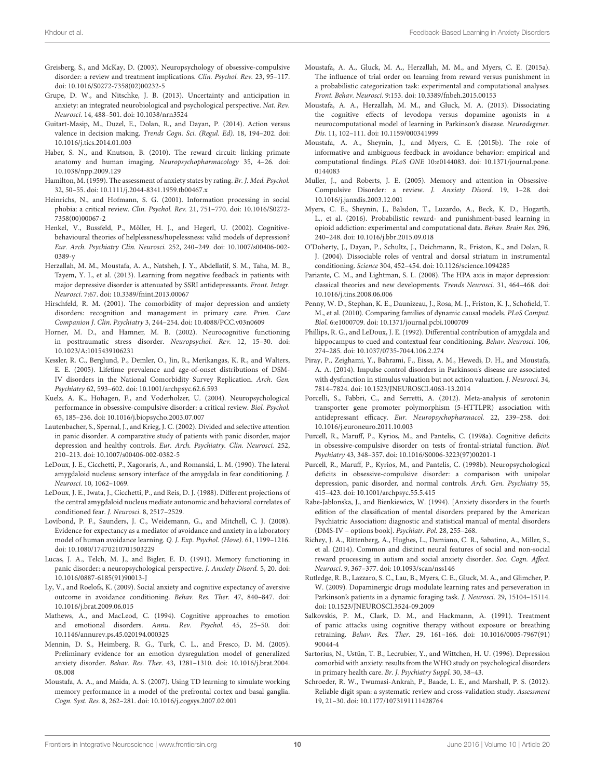- <span id="page-10-8"></span>Greisberg, S., and McKay, D. (2003). Neuropsychology of obsessive-compulsive disorder: a review and treatment implications. Clin. Psychol. Rev. 23, 95–117. doi: 10.1016/S0272-7358(02)00232-5
- <span id="page-10-3"></span>Grupe, D. W., and Nitschke, J. B. (2013). Uncertainty and anticipation in anxiety: an integrated neurobiological and psychological perspective. Nat. Rev. Neurosci. 14, 488–501. doi: 10.1038/nrn3524
- <span id="page-10-24"></span>Guitart-Masip, M., Duzel, E., Dolan, R., and Dayan, P. (2014). Action versus valence in decision making. Trends Cogn. Sci. (Regul. Ed). 18, 194–202. doi: 10.1016/j.tics.2014.01.003
- <span id="page-10-17"></span>Haber, S. N., and Knutson, B. (2010). The reward circuit: linking primate anatomy and human imaging. Neuropsychopharmacology 35, 4–26. doi: 10.1038/npp.2009.129
- <span id="page-10-27"></span>Hamilton, M. (1959). The assessment of anxiety states by rating. Br. J. Med. Psychol. 32, 50–55. doi: 10.1111/j.2044-8341.1959.tb00467.x
- <span id="page-10-7"></span>Heinrichs, N., and Hofmann, S. G. (2001). Information processing in social phobia: a critical review. Clin. Psychol. Rev. 21, 751–770. doi: 10.1016/S0272- 7358(00)00067-2
- <span id="page-10-18"></span>Henkel, V., Bussfeld, P., Möller, H. J., and Hegerl, U. (2002). Cognitivebehavioural theories of helplessness/hopelessness: valid models of depression? Eur. Arch. Psychiatry Clin. Neurosci. 252, 240–249. doi: 10.1007/s00406-002- 0389-y
- <span id="page-10-25"></span>Herzallah, M. M., Moustafa, A. A., Natsheh, J. Y., Abdellatif, S. M., Taha, M. B., Tayem, Y. I., et al. (2013). Learning from negative feedback in patients with major depressive disorder is attenuated by SSRI antidepressants. Front. Integr. Neurosci. 7:67. doi: 10.3389/fnint.2013.00067
- <span id="page-10-38"></span>Hirschfeld, R. M. (2001). The comorbidity of major depression and anxiety disorders: recognition and management in primary care. Prim. Care Companion J. Clin. Psychiatry 3, 244–254. doi: 10.4088/PCC.v03n0609
- <span id="page-10-11"></span>Horner, M. D., and Hamner, M. B. (2002). Neurocognitive functioning in posttraumatic stress disorder. Neuropsychol. Rev. 12, 15–30. doi: 10.1023/A:1015439106231
- <span id="page-10-1"></span>Kessler, R. C., Berglund, P., Demler, O., Jin, R., Merikangas, K. R., and Walters, E. E. (2005). Lifetime prevalence and age-of-onset distributions of DSM-IV disorders in the National Comorbidity Survey Replication. Arch. Gen. Psychiatry 62, 593–602. doi: 10.1001/archpsyc.62.6.593
- <span id="page-10-9"></span>Kuelz, A. K., Hohagen, F., and Voderholzer, U. (2004). Neuropsychological performance in obsessive-compulsive disorder: a critical review. Biol. Psychol. 65, 185–236. doi: 10.1016/j.biopsycho.2003.07.007
- <span id="page-10-4"></span>Lautenbacher, S., Spernal, J., and Krieg, J. C. (2002). Divided and selective attention in panic disorder. A comparative study of patients with panic disorder, major depression and healthy controls. Eur. Arch. Psychiatry. Clin. Neurosci. 252, 210–213. doi: 10.1007/s00406-002-0382-5
- <span id="page-10-34"></span>LeDoux, J. E., Cicchetti, P., Xagoraris, A., and Romanski, L. M. (1990). The lateral amygdaloid nucleus: sensory interface of the amygdala in fear conditioning. J. Neurosci. 10, 1062–1069.
- <span id="page-10-33"></span>LeDoux, J. E., Iwata, J., Cicchetti, P., and Reis, D. J. (1988). Different projections of the central amygdaloid nucleus mediate autonomic and behavioral correlates of conditioned fear. J. Neurosci. 8, 2517–2529.
- <span id="page-10-16"></span>Lovibond, P. F., Saunders, J. C., Weidemann, G., and Mitchell, C. J. (2008). Evidence for expectancy as a mediator of avoidance and anxiety in a laboratory model of human avoidance learning. Q. J. Exp. Psychol. (Hove). 61, 1199–1216. doi: 10.1080/17470210701503229
- <span id="page-10-12"></span>Lucas, J. A., Telch, M. J., and Bigler, E. D. (1991). Memory functioning in panic disorder: a neuropsychological perspective. J. Anxiety Disord. 5, 20. doi: 10.1016/0887-6185(91)90013-J
- <span id="page-10-13"></span>Ly, V., and Roelofs, K. (2009). Social anxiety and cognitive expectancy of aversive outcome in avoidance conditioning. Behav. Res. Ther. 47, 840–847. doi: 10.1016/j.brat.2009.06.015
- <span id="page-10-6"></span>Mathews, A., and MacLeod, C. (1994). Cognitive approaches to emotion and emotional disorders. Annu. Rev. Psychol. 45, 25–50. doi: 10.1146/annurev.ps.45.020194.000325
- <span id="page-10-37"></span>Mennin, D. S., Heimberg, R. G., Turk, C. L., and Fresco, D. M. (2005). Preliminary evidence for an emotion dysregulation model of generalized anxiety disorder. Behav. Res. Ther. 43, 1281–1310. doi: 10.1016/j.brat.2004. 08.008
- <span id="page-10-21"></span>Moustafa, A. A., and Maida, A. S. (2007). Using TD learning to simulate working memory performance in a model of the prefrontal cortex and basal ganglia. Cogn. Syst. Res. 8, 262–281. doi: 10.1016/j.cogsys.2007.02.001
- <span id="page-10-29"></span>Moustafa, A. A., Gluck, M. A., Herzallah, M. M., and Myers, C. E. (2015a). The influence of trial order on learning from reward versus punishment in a probabilistic categorization task: experimental and computational analyses. Front. Behav. Neurosci. 9:153. doi: 10.3389/fnbeh.2015.00153
- <span id="page-10-20"></span>Moustafa, A. A., Herzallah, M. M., and Gluck, M. A. (2013). Dissociating the cognitive effects of levodopa versus dopamine agonists in a neurocomputational model of learning in Parkinson's disease. Neurodegener. Dis. 11, 102–111. doi: 10.1159/000341999
- <span id="page-10-30"></span>Moustafa, A. A., Sheynin, J., and Myers, C. E. (2015b). The role of informative and ambiguous feedback in avoidance behavior: empirical and computational findings. PLoS ONE 10:e0144083. doi: 10.1371/journal.pone. 0144083
- <span id="page-10-10"></span>Muller, J., and Roberts, J. E. (2005). Memory and attention in Obsessive-Compulsive Disorder: a review. J. Anxiety Disord. 19, 1–28. doi: 10.1016/j.janxdis.2003.12.001
- <span id="page-10-31"></span>Myers, C. E., Sheynin, J., Balsdon, T., Luzardo, A., Beck, K. D., Hogarth, L., et al. (2016). Probabilistic reward- and punishment-based learning in opioid addiction: experimental and computational data. Behav. Brain Res. 296, 240–248. doi: 10.1016/j.bbr.2015.09.018
- <span id="page-10-23"></span>O'Doherty, J., Dayan, P., Schultz, J., Deichmann, R., Friston, K., and Dolan, R. J. (2004). Dissociable roles of ventral and dorsal striatum in instrumental conditioning. Science 304, 452–454. doi: 10.1126/science.1094285
- <span id="page-10-19"></span>Pariante, C. M., and Lightman, S. L. (2008). The HPA axis in major depression: classical theories and new developments. Trends Neurosci. 31, 464–468. doi: 10.1016/j.tins.2008.06.006
- <span id="page-10-32"></span>Penny, W. D., Stephan, K. E., Daunizeau, J., Rosa, M. J., Friston, K. J., Schofield, T. M., et al. (2010). Comparing families of dynamic causal models. PLoS Comput. Biol. 6:e1000709. doi: 10.1371/journal.pcbi.1000709
- <span id="page-10-35"></span>Phillips, R. G., and LeDoux, J. E. (1992). Differential contribution of amygdala and hippocampus to cued and contextual fear conditioning. Behav. Neurosci. 106, 274–285. doi: 10.1037/0735-7044.106.2.274
- <span id="page-10-28"></span>Piray, P., Zeighami, Y., Bahrami, F., Eissa, A. M., Hewedi, D. H., and Moustafa, A. A. (2014). Impulse control disorders in Parkinson's disease are associated with dysfunction in stimulus valuation but not action valuation. J. Neurosci. 34, 7814–7824. doi: 10.1523/JNEUROSCI.4063-13.2014
- <span id="page-10-2"></span>Porcelli, S., Fabbri, C., and Serretti, A. (2012). Meta-analysis of serotonin transporter gene promoter polymorphism (5-HTTLPR) association with antidepressant efficacy. Eur. Neuropsychopharmacol. 22, 239–258. doi: 10.1016/j.euroneuro.2011.10.003
- <span id="page-10-14"></span>Purcell, R., Maruff, P., Kyrios, M., and Pantelis, C. (1998a). Cognitive deficits in obsessive-compulsive disorder on tests of frontal-striatal function. Biol. Psychiatry 43, 348–357. doi: 10.1016/S0006-3223(97)00201-1
- <span id="page-10-15"></span>Purcell, R., Maruff, P., Kyrios, M., and Pantelis, C. (1998b). Neuropsychological deficits in obsessive-compulsive disorder: a comparison with unipolar depression, panic disorder, and normal controls. Arch. Gen. Psychiatry 55, 415–423. doi: 10.1001/archpsyc.55.5.415
- <span id="page-10-0"></span>Rabe-Jablonska, J., and Bienkiewicz, W. (1994). [Anxiety disorders in the fourth edition of the classification of mental disorders prepared by the American Psychiatric Association: diagnostic and statistical manual of mental disorders (DMS-IV – options book]. Psychiatr. Pol. 28, 255–268.
- <span id="page-10-36"></span>Richey, J. A., Rittenberg, A., Hughes, L., Damiano, C. R., Sabatino, A., Miller, S., et al. (2014). Common and distinct neural features of social and non-social reward processing in autism and social anxiety disorder. Soc. Cogn. Affect. Neurosci. 9, 367–377. doi: 10.1093/scan/nss146
- <span id="page-10-22"></span>Rutledge, R. B., Lazzaro, S. C., Lau, B., Myers, C. E., Gluck, M. A., and Glimcher, P. W. (2009). Dopaminergic drugs modulate learning rates and perseveration in Parkinson's patients in a dynamic foraging task. J. Neurosci. 29, 15104–15114. doi: 10.1523/JNEUROSCI.3524-09.2009
- <span id="page-10-5"></span>Salkovskis, P. M., Clark, D. M., and Hackmann, A. (1991). Treatment of panic attacks using cognitive therapy without exposure or breathing retraining. Behav. Res. Ther. 29, 161–166. doi: 10.1016/0005-7967(91) 90044-4
- <span id="page-10-39"></span>Sartorius, N., Ustün, T. B., Lecrubier, Y., and Wittchen, H. U. (1996). Depression comorbid with anxiety: results from the WHO study on psychological disorders in primary health care. Br. J. Psychiatry Suppl. 30, 38–43.
- <span id="page-10-26"></span>Schroeder, R. W., Twumasi-Ankrah, P., Baade, L. E., and Marshall, P. S. (2012). Reliable digit span: a systematic review and cross-validation study. Assessment 19, 21–30. doi: 10.1177/1073191111428764